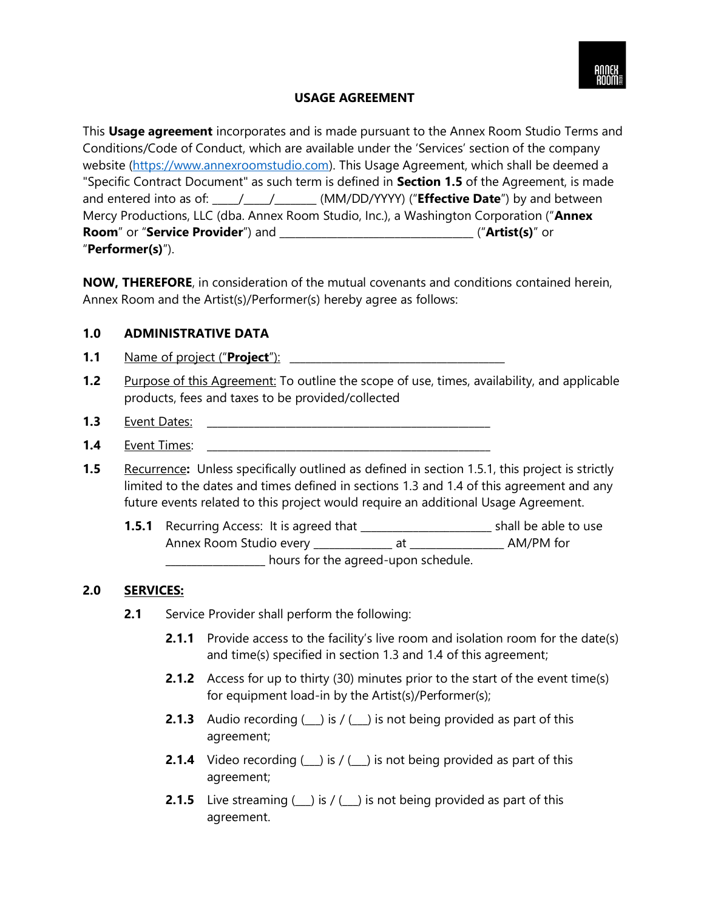

## **USAGE AGREEMENT**

This **Usage agreement** incorporates and is made pursuant to the Annex Room Studio Terms and Conditions/Code of Conduct, which are available under the 'Services' section of the company website [\(https://www.annexroomstudio.com\)](https://www.annexroomstudio.com/). This Usage Agreement, which shall be deemed a "Specific Contract Document" as such term is defined in **Section 1.5** of the Agreement, is made and entered into as of: \_\_\_\_\_\_\_\_\_\_\_\_\_\_\_\_\_\_\_\_\_\_\_\_\_(MM/DD/YYYY) ("**Effective Date**") by and between Mercy Productions, LLC (dba. Annex Room Studio, Inc.), a Washington Corporation ("**Annex Room**" or "**Service Provider**") and \_\_\_\_\_\_\_\_\_\_\_\_\_\_\_\_\_\_\_\_\_\_\_\_\_\_\_\_\_\_\_\_\_\_\_\_\_ ("**Artist(s)**" or "**Performer(s)**").

**NOW, THEREFORE**, in consideration of the mutual covenants and conditions contained herein, Annex Room and the Artist(s)/Performer(s) hereby agree as follows:

### **1.0 ADMINISTRATIVE DATA**

- **1.1** Name of project ("**Project**"): \_\_\_\_\_\_\_\_\_\_\_\_\_\_\_\_\_\_\_\_\_\_\_\_\_\_\_\_\_\_\_\_\_\_\_\_\_\_\_\_\_
- **1.2** Purpose of this Agreement: To outline the scope of use, times, availability, and applicable products, fees and taxes to be provided/collected
- **1.3** Event Dates: \_\_\_\_\_\_\_\_\_\_\_\_\_\_\_\_\_\_\_\_\_\_\_\_\_\_\_\_\_\_\_\_\_\_\_\_\_\_\_\_\_\_\_\_\_\_\_\_\_\_\_\_\_\_
- **1.4** Event Times:
- **1.5** Recurrence**:** Unless specifically outlined as defined in section 1.5.1, this project is strictly limited to the dates and times defined in sections 1.3 and 1.4 of this agreement and any future events related to this project would require an additional Usage Agreement.
	- **1.5.1** Recurring Access: It is agreed that **the set of the set of shall be able to use** Annex Room Studio every \_\_\_\_\_\_\_\_\_\_\_\_\_\_\_ at \_\_\_\_\_\_\_\_\_\_\_\_\_\_\_\_\_\_ AM/PM for \_\_\_\_\_\_\_\_\_\_\_\_\_\_\_\_\_\_\_ hours for the agreed-upon schedule.

#### **2.0 SERVICES:**

- **2.1** Service Provider shall perform the following:
	- **2.1.1** Provide access to the facility's live room and isolation room for the date(s) and time(s) specified in section 1.3 and 1.4 of this agreement;
	- **2.1.2** Access for up to thirty (30) minutes prior to the start of the event time(s) for equipment load-in by the Artist(s)/Performer(s);
	- **2.1.3** Audio recording  $(\_)$  is  $/(\_)$  is not being provided as part of this agreement;
	- **2.1.4** Video recording  $(\_)$  is  $/(\_)$  is not being provided as part of this agreement;
	- **2.1.5** Live streaming  $(\_)$  is  $/(\_)$  is not being provided as part of this agreement.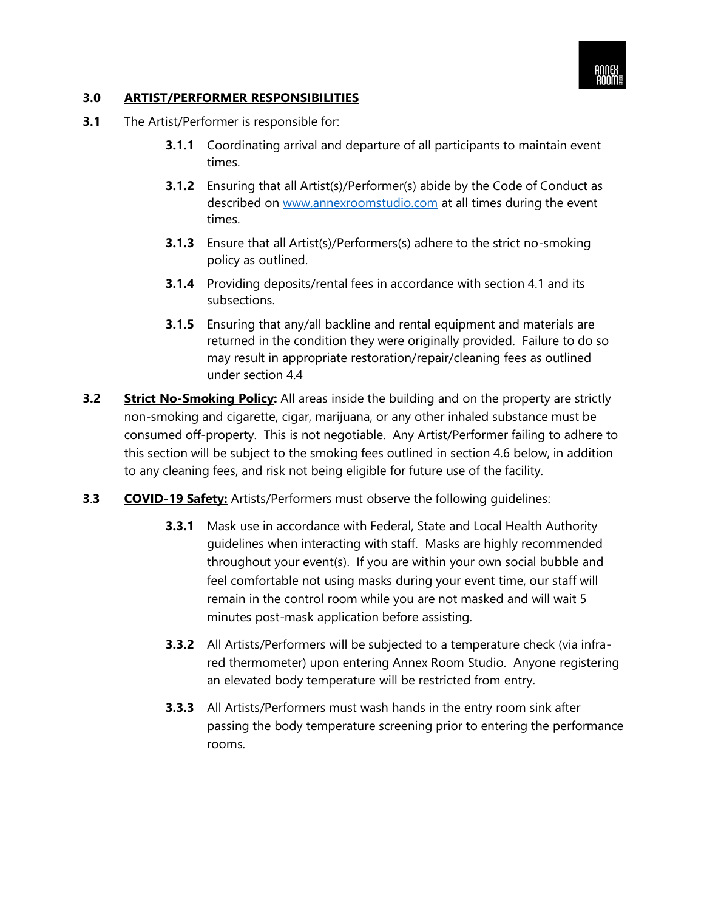

## **3.0 ARTIST/PERFORMER RESPONSIBILITIES**

- **3.1** The Artist/Performer is responsible for:
	- **3.1.1** Coordinating arrival and departure of all participants to maintain event times.
	- **3.1.2** Ensuring that all Artist(s)/Performer(s) abide by the Code of Conduct as described on [www.annexroomstudio.com](http://www.annexroomstudio.com/) at all times during the event times.
	- **3.1.3** Ensure that all Artist(s)/Performers(s) adhere to the strict no-smoking policy as outlined.
	- **3.1.4** Providing deposits/rental fees in accordance with section 4.1 and its subsections.
	- **3.1.5** Ensuring that any/all backline and rental equipment and materials are returned in the condition they were originally provided. Failure to do so may result in appropriate restoration/repair/cleaning fees as outlined under section 4.4
- **3.2 Strict No-Smoking Policy:** All areas inside the building and on the property are strictly non-smoking and cigarette, cigar, marijuana, or any other inhaled substance must be consumed off-property. This is not negotiable. Any Artist/Performer failing to adhere to this section will be subject to the smoking fees outlined in section 4.6 below, in addition to any cleaning fees, and risk not being eligible for future use of the facility.
- **3**.**3 COVID-19 Safety:** Artists/Performers must observe the following guidelines:
	- **3.3.1** Mask use in accordance with Federal, State and Local Health Authority guidelines when interacting with staff. Masks are highly recommended throughout your event(s). If you are within your own social bubble and feel comfortable not using masks during your event time, our staff will remain in the control room while you are not masked and will wait 5 minutes post-mask application before assisting.
	- **3.3.2** All Artists/Performers will be subjected to a temperature check (via infrared thermometer) upon entering Annex Room Studio. Anyone registering an elevated body temperature will be restricted from entry.
	- **3.3.3** All Artists/Performers must wash hands in the entry room sink after passing the body temperature screening prior to entering the performance rooms.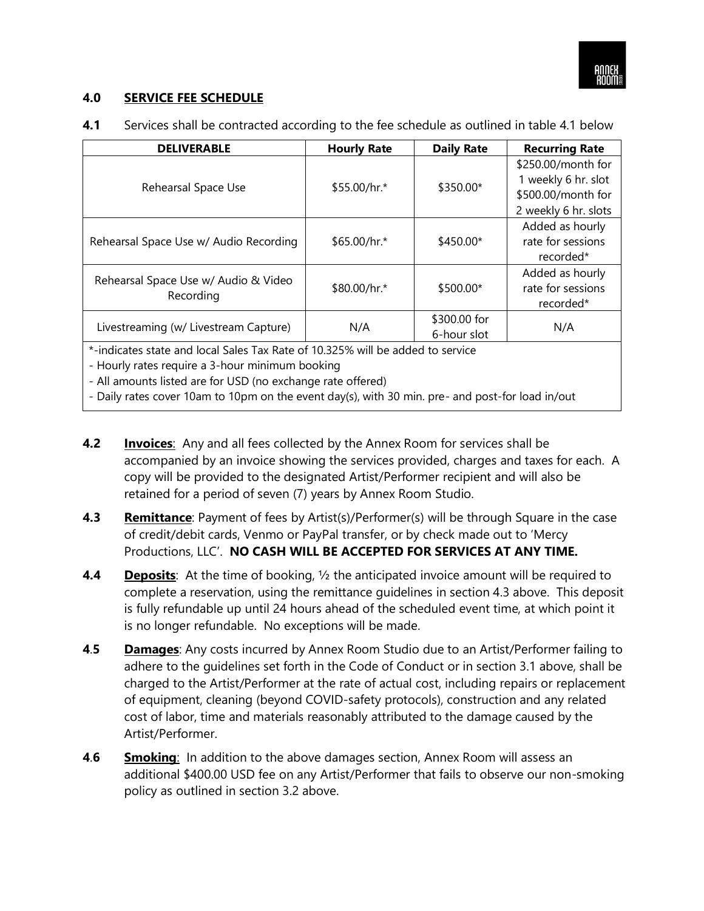

#### **4.0 SERVICE FEE SCHEDULE**

| <b>DELIVERABLE</b>                                                                                                                                                                                                                                                                                   | <b>Hourly Rate</b> | <b>Daily Rate</b>           | <b>Recurring Rate</b>                                                                   |  |
|------------------------------------------------------------------------------------------------------------------------------------------------------------------------------------------------------------------------------------------------------------------------------------------------------|--------------------|-----------------------------|-----------------------------------------------------------------------------------------|--|
| Rehearsal Space Use                                                                                                                                                                                                                                                                                  | \$55.00/hr.*       | \$350.00*                   | \$250.00/month for<br>1 weekly 6 hr. slot<br>\$500.00/month for<br>2 weekly 6 hr. slots |  |
| Rehearsal Space Use w/ Audio Recording                                                                                                                                                                                                                                                               | \$65.00/hr.*       | \$450.00*                   | Added as hourly<br>rate for sessions<br>recorded*                                       |  |
| Rehearsal Space Use w/ Audio & Video<br>Recording                                                                                                                                                                                                                                                    | \$80.00/hr.*       | \$500.00*                   | Added as hourly<br>rate for sessions<br>recorded*                                       |  |
| Livestreaming (w/ Livestream Capture)                                                                                                                                                                                                                                                                | N/A                | \$300.00 for<br>6-hour slot | N/A                                                                                     |  |
| *-indicates state and local Sales Tax Rate of 10.325% will be added to service<br>- Hourly rates require a 3-hour minimum booking<br>- All amounts listed are for USD (no exchange rate offered)<br>- Daily rates cover 10am to 10pm on the event day(s), with 30 min. pre- and post-for load in/out |                    |                             |                                                                                         |  |

**4.1** Services shall be contracted according to the fee schedule as outlined in table 4.1 below

- **4.2 Invoices**: Any and all fees collected by the Annex Room for services shall be accompanied by an invoice showing the services provided, charges and taxes for each. A copy will be provided to the designated Artist/Performer recipient and will also be retained for a period of seven (7) years by Annex Room Studio.
- **4.3 Remittance**: Payment of fees by Artist(s)/Performer(s) will be through Square in the case of credit/debit cards, Venmo or PayPal transfer, or by check made out to 'Mercy Productions, LLC'. **NO CASH WILL BE ACCEPTED FOR SERVICES AT ANY TIME.**
- **4.4 Deposits**: At the time of booking, 1/2 the anticipated invoice amount will be required to complete a reservation, using the remittance guidelines in section 4.3 above. This deposit is fully refundable up until 24 hours ahead of the scheduled event time, at which point it is no longer refundable. No exceptions will be made.
- **4**.**5 Damages**: Any costs incurred by Annex Room Studio due to an Artist/Performer failing to adhere to the guidelines set forth in the Code of Conduct or in section 3.1 above, shall be charged to the Artist/Performer at the rate of actual cost, including repairs or replacement of equipment, cleaning (beyond COVID-safety protocols), construction and any related cost of labor, time and materials reasonably attributed to the damage caused by the Artist/Performer.
- **4**.**6 Smoking**: In addition to the above damages section, Annex Room will assess an additional \$400.00 USD fee on any Artist/Performer that fails to observe our non-smoking policy as outlined in section 3.2 above.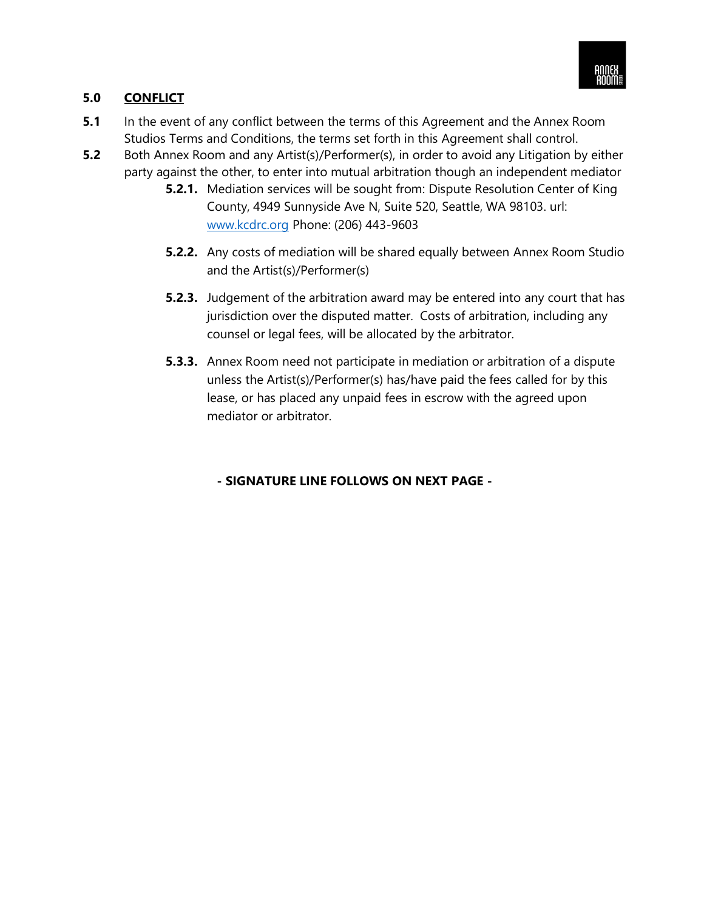

# **5.0 CONFLICT**

- **5.1** In the event of any conflict between the terms of this Agreement and the Annex Room Studios Terms and Conditions, the terms set forth in this Agreement shall control.
- **5.2** Both Annex Room and any Artist(s)/Performer(s), in order to avoid any Litigation by either party against the other, to enter into mutual arbitration though an independent mediator
	- **5.2.1.** Mediation services will be sought from: Dispute Resolution Center of King County, 4949 Sunnyside Ave N, Suite 520, Seattle, WA 98103. url: [www.kcdrc.org](http://www.kcdrc.org/) Phone: (206) 443-9603
	- **5.2.2.** Any costs of mediation will be shared equally between Annex Room Studio and the Artist(s)/Performer(s)
	- **5.2.3.** Judgement of the arbitration award may be entered into any court that has jurisdiction over the disputed matter. Costs of arbitration, including any counsel or legal fees, will be allocated by the arbitrator.
	- **5.3.3.** Annex Room need not participate in mediation or arbitration of a dispute unless the Artist(s)/Performer(s) has/have paid the fees called for by this lease, or has placed any unpaid fees in escrow with the agreed upon mediator or arbitrator.

# **- SIGNATURE LINE FOLLOWS ON NEXT PAGE -**